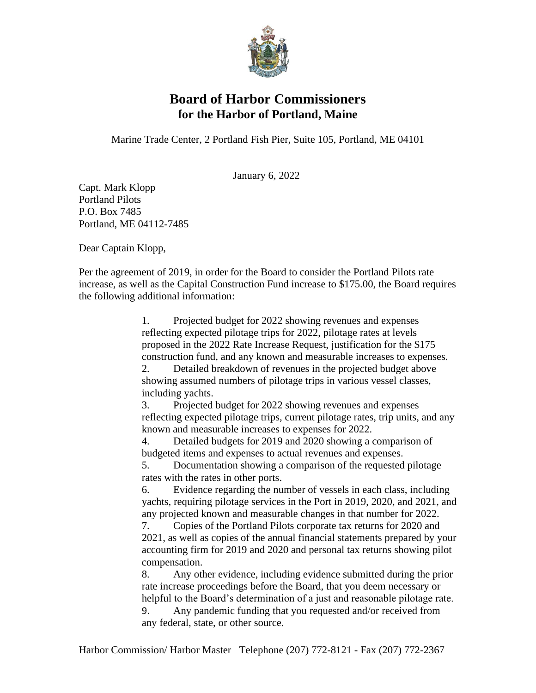

## **Board of Harbor Commissioners for the Harbor of Portland, Maine**

Marine Trade Center, 2 Portland Fish Pier, Suite 105, Portland, ME 04101

January 6, 2022

Capt. Mark Klopp Portland Pilots P.O. Box 7485 Portland, ME 04112-7485

Dear Captain Klopp,

Per the agreement of 2019, in order for the Board to consider the Portland Pilots rate increase, as well as the Capital Construction Fund increase to \$175.00, the Board requires the following additional information:

> 1. Projected budget for 2022 showing revenues and expenses reflecting expected pilotage trips for 2022, pilotage rates at levels proposed in the 2022 Rate Increase Request, justification for the \$175 construction fund, and any known and measurable increases to expenses.

2. Detailed breakdown of revenues in the projected budget above showing assumed numbers of pilotage trips in various vessel classes, including yachts.

3. Projected budget for 2022 showing revenues and expenses reflecting expected pilotage trips, current pilotage rates, trip units, and any known and measurable increases to expenses for 2022.

4. Detailed budgets for 2019 and 2020 showing a comparison of budgeted items and expenses to actual revenues and expenses.

5. Documentation showing a comparison of the requested pilotage rates with the rates in other ports.

6. Evidence regarding the number of vessels in each class, including yachts, requiring pilotage services in the Port in 2019, 2020, and 2021, and any projected known and measurable changes in that number for 2022.

7. Copies of the Portland Pilots corporate tax returns for 2020 and 2021, as well as copies of the annual financial statements prepared by your accounting firm for 2019 and 2020 and personal tax returns showing pilot compensation.

8. Any other evidence, including evidence submitted during the prior rate increase proceedings before the Board, that you deem necessary or helpful to the Board's determination of a just and reasonable pilotage rate.

9. Any pandemic funding that you requested and/or received from any federal, state, or other source.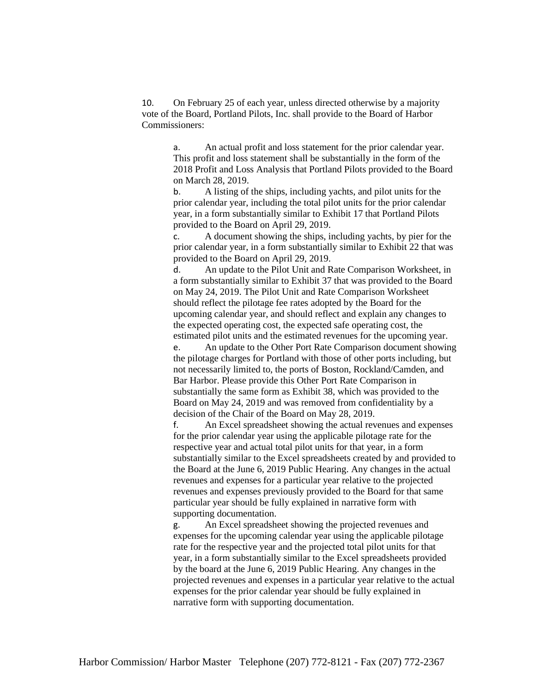10. On February 25 of each year, unless directed otherwise by a majority vote of the Board, Portland Pilots, Inc. shall provide to the Board of Harbor Commissioners:

a. An actual profit and loss statement for the prior calendar year. This profit and loss statement shall be substantially in the form of the 2018 Profit and Loss Analysis that Portland Pilots provided to the Board on March 28, 2019.

b. A listing of the ships, including yachts, and pilot units for the prior calendar year, including the total pilot units for the prior calendar year, in a form substantially similar to Exhibit 17 that Portland Pilots provided to the Board on April 29, 2019.

c. A document showing the ships, including yachts, by pier for the prior calendar year, in a form substantially similar to Exhibit 22 that was provided to the Board on April 29, 2019.

d. An update to the Pilot Unit and Rate Comparison Worksheet, in a form substantially similar to Exhibit 37 that was provided to the Board on May 24, 2019. The Pilot Unit and Rate Comparison Worksheet should reflect the pilotage fee rates adopted by the Board for the upcoming calendar year, and should reflect and explain any changes to the expected operating cost, the expected safe operating cost, the estimated pilot units and the estimated revenues for the upcoming year.

e. An update to the Other Port Rate Comparison document showing the pilotage charges for Portland with those of other ports including, but not necessarily limited to, the ports of Boston, Rockland/Camden, and Bar Harbor. Please provide this Other Port Rate Comparison in substantially the same form as Exhibit 38, which was provided to the Board on May 24, 2019 and was removed from confidentiality by a decision of the Chair of the Board on May 28, 2019.

f. An Excel spreadsheet showing the actual revenues and expenses for the prior calendar year using the applicable pilotage rate for the respective year and actual total pilot units for that year, in a form substantially similar to the Excel spreadsheets created by and provided to the Board at the June 6, 2019 Public Hearing. Any changes in the actual revenues and expenses for a particular year relative to the projected revenues and expenses previously provided to the Board for that same particular year should be fully explained in narrative form with supporting documentation.

g. An Excel spreadsheet showing the projected revenues and expenses for the upcoming calendar year using the applicable pilotage rate for the respective year and the projected total pilot units for that year, in a form substantially similar to the Excel spreadsheets provided by the board at the June 6, 2019 Public Hearing. Any changes in the projected revenues and expenses in a particular year relative to the actual expenses for the prior calendar year should be fully explained in narrative form with supporting documentation.